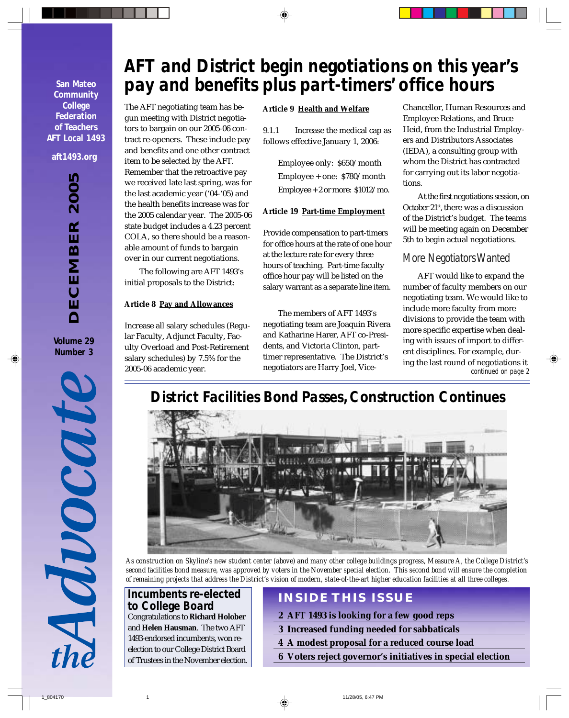**San Mateo Community College Federation of Teachers AFT Local 1493**

#### **aft1493.org**

*DECEMBER 2005* **DECEMBER 200** 

**Volume 29 Number 3**



# *AFT and District begin negotiations on this year's pay and benefits plus part-timers' office hours*

The AFT negotiating team has begun meeting with District negotiators to bargain on our 2005-06 contract re-openers. These include pay and benefits and one other contract item to be selected by the AFT. Remember that the retroactive pay we received late last spring, was for the last academic year ('04-'05) and the health benefits increase was for the 2005 calendar year. The 2005-06 state budget includes a 4.23 percent COLA, so there should be a reasonable amount of funds to bargain over in our current negotiations.

The following are AFT 1493's initial proposals to the District:

#### **Article 8 Pay and Allowances**

Increase all salary schedules (Regular Faculty, Adjunct Faculty, Faculty Overload and Post-Retirement salary schedules) by 7.5% for the 2005-06 academic year.

#### **Article 9 Health and Welfare**

9.1.1 Increase the medical cap as follows effective January 1, 2006:

> Employee only: \$650/month Employee + one: \$780/month Employee + 2 or more: \$1012/mo.

#### **Article 19 Part-time Employment**

Provide compensation to part-timers for office hours at the rate of one hour at the lecture rate for every three hours of teaching. Part-time faculty office hour pay will be listed on the salary warrant as a separate line item.

The members of AFT 1493's negotiating team are Joaquin Rivera and Katharine Harer, AFT co-Presidents, and Victoria Clinton, parttimer representative. The District's negotiators are Harry Joel, Vice-

Chancellor, Human Resources and Employee Relations, and Bruce Heid, from the Industrial Employers and Distributors Associates (IEDA), a consulting group with whom the District has contracted for carrying out its labor negotiations.

At the first negotiations session, on October 21<sup>st</sup>, there was a discussion of the District's budget. The teams will be meeting again on December 5th to begin actual negotiations.

### *More Negotiators Wanted*

AFT would like to expand the number of faculty members on our negotiating team. We would like to include more faculty from more divisions to provide the team with more specific expertise when dealing with issues of import to different disciplines. For example, during the last round of negotiations it *continued on page 2*

## *District Facilities Bond Passes, Construction Continues*



*As construction on Skyline's new student center (above) and many other college buildings progress, Measure A, the College District's second facilities bond measure, was approved by voters in the November special election. This second bond will ensure the completion of remaining projects that address the District's vision of modern, state-of-the-art higher education facilities at all three colleges.*

## *Incumbents re-elected to College Board*

Congratulations to **Richard Holober** and **Helen Hausman**. The two AFT 1493-endorsed incumbents, won reelection to our College District Board of Trustees in the November election.

## **INSIDE THIS ISSUE**

- **2 AFT 1493 is looking for a few good reps**
- **3 Increased funding needed for sabbaticals**
- **4 A modest proposal for a reduced course load**
- **6 Voters reject governor's initiatives in special election**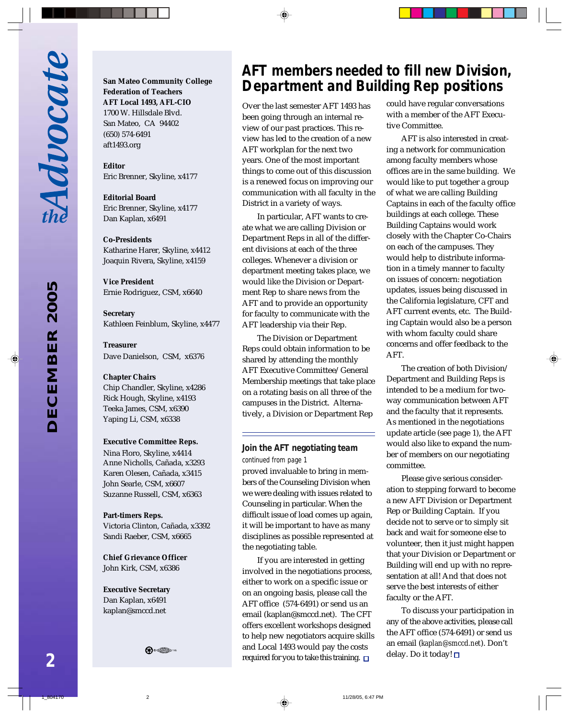LQ *DECEMBER 2005* 200 **DECEMBER**  **San Mateo Community College Federation of Teachers AFT Local 1493, AFL-CIO** 1700 W. Hillsdale Blvd. San Mateo, CA 94402 (650) 574-6491 aft1493.org

**Editor** Eric Brenner, Skyline, x4177

**Editorial Board** Eric Brenner, Skyline, x4177 Dan Kaplan, x6491

**Co-Presidents**

Katharine Harer, Skyline, x4412 Joaquin Rivera, Skyline, x4159

**Vice President** Ernie Rodriguez, CSM, x6640

**Secretary** Kathleen Feinblum, Skyline, x4477

**Treasurer** Dave Danielson, CSM, x6376

#### **Chapter Chairs**

Chip Chandler, Skyline, x4286 Rick Hough, Skyline, x4193 Teeka James, CSM, x6390 Yaping Li, CSM, x6338

#### **Executive Committee Reps.**

Nina Floro, Skyline, x4414 Anne Nicholls, Cañada, x3293 Karen Olesen, Cañada, x3415 John Searle, CSM, x6607 Suzanne Russell, CSM, x6363

#### **Part-timers Reps.**

Victoria Clinton, Cañada, x3392 Sandi Raeber, CSM, x6665

**Chief Grievance Officer** John Kirk, CSM, x6386

**Executive Secretary** Dan Kaplan, x6491 kaplan@smccd.net



## *AFT members needed to fill new Division, Department and Building Rep positions*

Over the last semester AFT 1493 has been going through an internal review of our past practices. This review has led to the creation of a new AFT workplan for the next two years. One of the most important things to come out of this discussion is a renewed focus on improving our communication with all faculty in the District in a variety of ways.

In particular, AFT wants to create what we are calling Division or Department Reps in all of the different divisions at each of the three colleges. Whenever a division or department meeting takes place, we would like the Division or Department Rep to share news from the AFT and to provide an opportunity for faculty to communicate with the AFT leadership via their Rep.

The Division or Department Reps could obtain information to be shared by attending the monthly AFT Executive Committee/General Membership meetings that take place on a rotating basis on all three of the campuses in the District. Alternatively, a Division or Department Rep

#### *Join the AFT negotiating team continued from page 1*

proved invaluable to bring in members of the Counseling Division when we were dealing with issues related to Counseling in particular. When the difficult issue of load comes up again, it will be important to have as many disciplines as possible represented at the negotiating table.

If you are interested in getting involved in the negotiations process, either to work on a specific issue or on an ongoing basis, please call the AFT office (574-6491) or send us an email (kaplan@smccd.net). The CFT offers excellent workshops designed to help new negotiators acquire skills and Local 1493 would pay the costs required for you to take this training.  $\square$ 

could have regular conversations with a member of the AFT Executive Committee.

AFT is also interested in creating a network for communication among faculty members whose offices are in the same building. We would like to put together a group of what we are calling Building Captains in each of the faculty office buildings at each college. These Building Captains would work closely with the Chapter Co-Chairs on each of the campuses. They would help to distribute information in a timely manner to faculty on issues of concern: negotiation updates, issues being discussed in the California legislature, CFT and AFT current events, etc. The Building Captain would also be a person with whom faculty could share concerns and offer feedback to the AFT.

The creation of both Division/ Department and Building Reps is intended to be a medium for twoway communication between AFT and the faculty that it represents. As mentioned in the negotiations update article (see page 1), the AFT would also like to expand the number of members on our negotiating committee.

Please give serious consideration to stepping forward to become a new AFT Division or Department Rep or Building Captain. If you decide not to serve or to simply sit back and wait for someone else to volunteer, then it just might happen that your Division or Department or Building will end up with no representation at all! And that does not serve the best interests of either faculty or the AFT.

To discuss your participation in any of the above activities, please call the AFT office (574-6491) or send us an email (*kaplan@smccd.net*). Don't delay. Do it today!  $\square$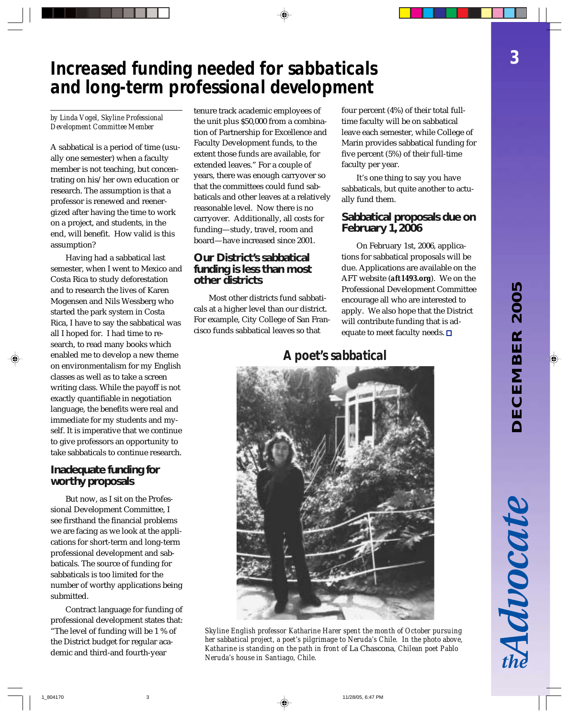*3*

# *Increased funding needed for sabbaticals and long-term professional development*

*by Linda Vogel, Skyline Professional Development Committee Member*

A sabbatical is a period of time (usually one semester) when a faculty member is not teaching, but concentrating on his/her own education or research. The assumption is that a professor is renewed and reenergized after having the time to work on a project, and students, in the end, will benefit. How valid is this assumption?

Having had a sabbatical last semester, when I went to Mexico and Costa Rica to study deforestation and to research the lives of Karen Mogensen and Nils Wessberg who started the park system in Costa Rica, I have to say the sabbatical was all I hoped for. I had time to research, to read many books which enabled me to develop a new theme on environmentalism for my English classes as well as to take a screen writing class. While the payoff is not exactly quantifiable in negotiation language, the benefits were real and immediate for my students and myself. It is imperative that we continue to give professors an opportunity to take sabbaticals to continue research.

#### **Inadequate funding for worthy proposals**

But now, as I sit on the Professional Development Committee, I see firsthand the financial problems we are facing as we look at the applications for short-term and long-term professional development and sabbaticals. The source of funding for sabbaticals is too limited for the number of worthy applications being submitted.

Contract language for funding of professional development states that: "The level of funding will be 1 % of the District budget for regular academic and third-and fourth-year

tenure track academic employees of the unit plus \$50,000 from a combination of Partnership for Excellence and Faculty Development funds, to the extent those funds are available, for extended leaves." For a couple of years, there was enough carryover so that the committees could fund sabbaticals and other leaves at a relatively reasonable level. Now there is no carryover. Additionally, all costs for funding—study, travel, room and board—have increased since 2001.

#### **Our District's sabbatical funding is less than most other districts**

Most other districts fund sabbaticals at a higher level than our district. For example, City College of San Francisco funds sabbatical leaves so that

four percent (4%) of their total fulltime faculty will be on sabbatical leave each semester, while College of Marin provides sabbatical funding for five percent (5%) of their full-time faculty per year.

It's one thing to say you have sabbaticals, but quite another to actually fund them.

#### **Sabbatical proposals due on February 1, 2006**

On February 1st, 2006, applications for sabbatical proposals will be due. Applications are available on the AFT website (*aft1493.org*). We on the Professional Development Committee encourage all who are interested to apply. We also hope that the District will contribute funding that is adequate to meet faculty needs.  $\square$ 

## *A poet's sabbatical*



*Skyline English professor Katharine Harer spent the month of October pursuing her sabbatical project, a poet's pilgrimage to Neruda's Chile. In the photo above, Katharine is standing on the path in front of* La Chascona*, Chilean poet Pablo Neruda's house in Santiago, Chile.*

Advocat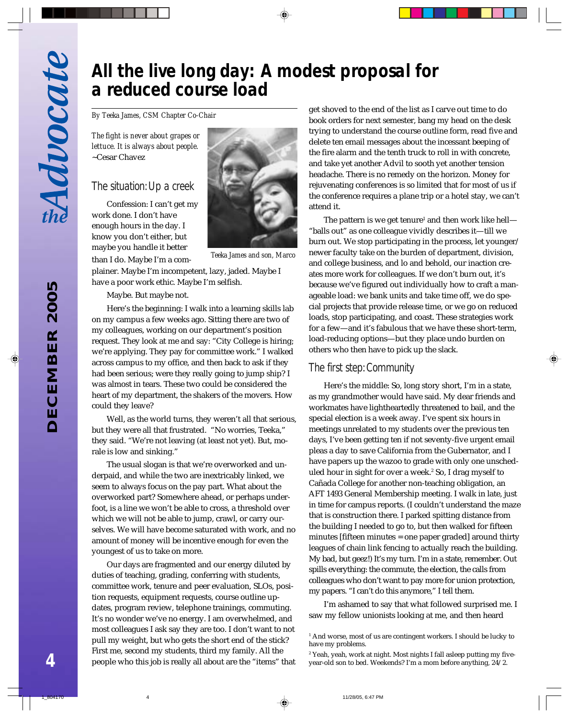## *All the live long day: A modest proposal for a reduced course load*

*By Teeka James, CSM Chapter Co-Chair*

*The fight is never about grapes or lettuce. It is always about people.* ~Cesar Chavez

#### *The situation: Up a creek*

Confession: I can't get my work done. I don't have enough hours in the day. I know you don't either, but maybe you handle it better *Teeka James and son, Marco* than I do. Maybe I'm a com-



plainer. Maybe I'm incompetent, lazy, jaded. Maybe I have a poor work ethic. Maybe I'm selfish.

Maybe. But maybe not.

Here's the beginning: I walk into a learning skills lab on my campus a few weeks ago. Sitting there are two of my colleagues, working on our department's position request. They look at me and say: "City College is hiring; we're applying. They pay for committee work." I walked across campus to my office, and then back to ask if they had been serious; were they really going to jump ship? I was almost in tears. These two could be considered the heart of my department, the shakers of the movers. How could they leave?

Well, as the world turns, they weren't all that serious, but they were all that frustrated. "No worries, Teeka," they said. "We're not leaving (at least not yet). But, morale is low and sinking."

The usual slogan is that we're overworked and underpaid, and while the two are inextricably linked, we seem to always focus on the pay part. What about the overworked part? Somewhere ahead, or perhaps underfoot, is a line we won't be able to cross, a threshold over which we will not be able to jump, crawl, or carry ourselves. We will have become saturated with work, and no amount of money will be incentive enough for even the youngest of us to take on more.

Our days are fragmented and our energy diluted by duties of teaching, grading, conferring with students, committee work, tenure and peer evaluation, SLOs, position requests, equipment requests, course outline updates, program review, telephone trainings, commuting. It's no wonder we've no energy. I am overwhelmed, and most colleagues I ask say they are too. I don't want to not pull my weight, but who gets the short end of the stick? First me, second my students, third my family. All the people who this job is really all about are the "items" that get shoved to the end of the list as I carve out time to do book orders for next semester, bang my head on the desk trying to understand the course outline form, read five and delete ten email messages about the incessant beeping of the fire alarm and the tenth truck to roll in with concrete, and take yet another Advil to sooth yet another tension headache. There is no remedy on the horizon. Money for rejuvenating conferences is so limited that for most of us if the conference requires a plane trip or a hotel stay, we can't attend it.

The pattern is we get tenure $^{\scriptscriptstyle 1}$  and then work like hell— "balls out" as one colleague vividly describes it—till we burn out. We stop participating in the process, let younger/ newer faculty take on the burden of department, division, and college business, and lo and behold, our inaction creates more work for colleagues. If we don't burn out, it's because we've figured out individually how to craft a manageable load: we bank units and take time off, we do special projects that provide release time, or we go on reduced loads, stop participating, and coast. These strategies work for a few—and it's fabulous that we have these short-term, load-reducing options—but they place undo burden on others who then have to pick up the slack.

#### *The first step: Community*

Here's the middle: So, long story short, I'm in a state, as my grandmother would have said. My dear friends and workmates have lightheartedly threatened to bail, and the special election is a week away. I've spent six hours in meetings unrelated to my students over the previous ten days, I've been getting ten if not seventy-five urgent email pleas a day to save California from the Gubernator, and I have papers up the wazoo to grade with only one unscheduled hour in sight for over a week.<sup>2</sup> So, I drag myself to Cañada College for another non-teaching obligation, an AFT 1493 General Membership meeting. I walk in late, just in time for campus reports. (I couldn't understand the maze that is construction there. I parked spitting distance from the building I needed to go to, but then walked for fifteen minutes [fifteen minutes = one paper graded] around thirty leagues of chain link fencing to actually reach the building. My bad, but geez!) It's my turn. I'm in a state, remember. Out spills everything: the commute, the election, the calls from colleagues who don't want to pay more for union protection, my papers. "I can't do this anymore," I tell them.

I'm ashamed to say that what followed surprised me. I saw my fellow unionists looking at me, and then heard

<sup>1</sup> And worse, most of us are contingent workers. I should be lucky to have my problems.

<sup>2</sup> Yeah, yeah, work at night. Most nights I fall asleep putting my fiveyear-old son to bed. Weekends? I'm a mom before anything, 24/2.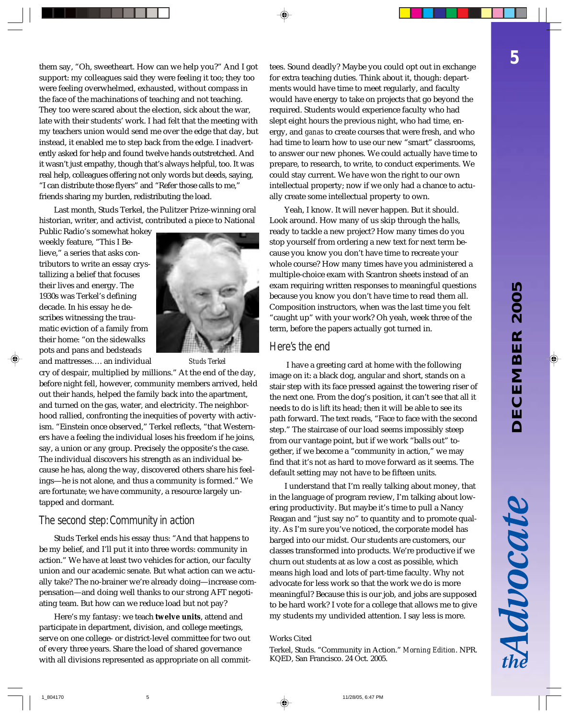Advocate

them say, "Oh, sweetheart. How can we help you?" And I got support: my colleagues said they were feeling it too; they too were feeling overwhelmed, exhausted, without compass in the face of the machinations of teaching and not teaching. They too were scared about the election, sick about the war, late with their students' work. I had felt that the meeting with my teachers union would send me over the edge that day, but instead, it enabled me to step back from the edge. I inadvertently asked for help and found twelve hands outstretched. And it wasn't just empathy, though that's always helpful, too. It was real help, colleagues offering not only words but deeds, saying, "I can distribute those flyers" and "Refer those calls to me," friends sharing my burden, redistributing the load.

Last month, Studs Terkel, the Pulitzer Prize-winning oral historian, writer, and activist, contributed a piece to National

Public Radio's somewhat hokey weekly feature, "This I Believe," a series that asks contributors to write an essay crystallizing a belief that focuses their lives and energy. The 1930s was Terkel's defining decade. In his essay he describes witnessing the traumatic eviction of a family from their home: "on the sidewalks pots and pans and bedsteads



and mattresses…. an individual *Studs Terkel*

cry of despair, multiplied by millions." At the end of the day, before night fell, however, community members arrived, held out their hands, helped the family back into the apartment, and turned on the gas, water, and electricity. The neighborhood rallied, confronting the inequities of poverty with activism. "Einstein once observed," Terkel reflects, "that Westerners have a feeling the individual loses his freedom if he joins, say, a union or any group. Precisely the opposite's the case. The individual discovers his strength as an individual because he has, along the way, discovered others share his feelings—he is not alone, and thus a community is formed." We are fortunate; we have community, a resource largely untapped and dormant.

#### *The second step: Community in action*

Studs Terkel ends his essay thus: "And that happens to be my belief, and I'll put it into three words: community in action." We have at least two vehicles for action, our faculty union and our academic senate. But what action can we actually take? The no-brainer we're already doing—increase compensation—and doing well thanks to our strong AFT negotiating team. But how can we reduce load but not pay?

Here's my fantasy: we teach **twelve units**, attend and participate in department, division, and college meetings, serve on one college- or district-level committee for two out of every three years. Share the load of shared governance with all divisions represented as appropriate on all committees. Sound deadly? Maybe you could opt out in exchange for extra teaching duties. Think about it, though: departments would have time to meet regularly, and faculty would have energy to take on projects that go beyond the required. Students would experience faculty who had slept eight hours the previous night, who had time, energy, and *ganas* to create courses that were fresh, and who had time to learn how to use our new "smart" classrooms, to answer our new phones. We could actually have time to prepare, to research, to write, to conduct experiments. We could stay current. We have won the right to our own intellectual property; now if we only had a chance to actually create some intellectual property to own.

Yeah, I know. It will never happen. But it should. Look around. How many of us skip through the halls, ready to tackle a new project? How many times do you stop yourself from ordering a new text for next term because you know you don't have time to recreate your whole course? How many times have you administered a multiple-choice exam with Scantron sheets instead of an exam requiring written responses to meaningful questions because you know you don't have time to read them all. Composition instructors, when was the last time you felt "caught up" with your work? Oh yeah, week three of the term, before the papers actually got turned in.

#### *Here's the end*

 I have a greeting card at home with the following image on it: a black dog, angular and short, stands on a stair step with its face pressed against the towering riser of the next one. From the dog's position, it can't see that all it needs to do is lift its head; then it will be able to see its path forward. The text reads, "Face to face with the second step." The staircase of our load seems impossibly steep from our vantage point, but if we work "balls out" together, if we become a "community in action," we may find that it's not as hard to move forward as it seems. The default setting may not have to be fifteen units.

I understand that I'm really talking about money, that in the language of program review, I'm talking about lowering productivity. But maybe it's time to pull a Nancy Reagan and "just say no" to quantity and to promote quality. As I'm sure you've noticed, the corporate model has barged into our midst. Our students are customers, our classes transformed into products. We're productive if we churn out students at as low a cost as possible, which means high load and lots of part-time faculty. Why not advocate for less work so that the work we do is more meaningful? Because this is our job, and jobs are supposed to be hard work? I vote for a college that allows me to give my students my undivided attention. I say less is more.

#### Works Cited

Terkel, Studs. "Community in Action." *Morning Edition*. NPR. KQED, San Francisco. 24 Oct. 2005.